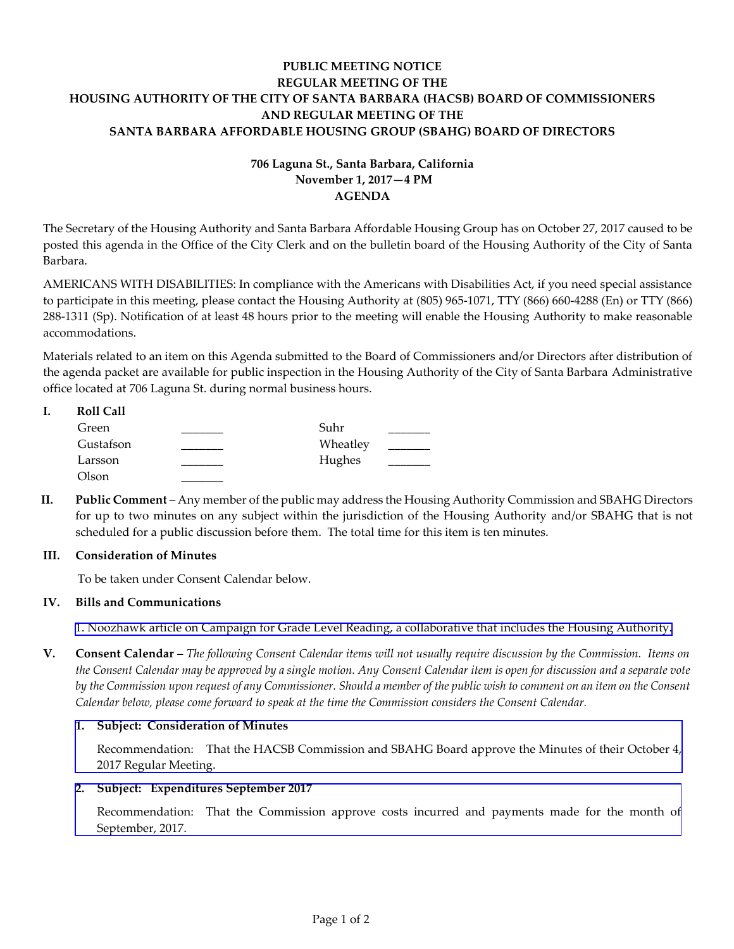## **PUBLIC MEETING NOTICE REGULAR MEETING OF THE HOUSING AUTHORITY OF THE CITY OF SANTA BARBARA (HACSB) BOARD OF COMMISSIONERS AND REGULAR MEETING OF THE SANTA BARBARA AFFORDABLE HOUSING GROUP (SBAHG) BOARD OF DIRECTORS**

# **706 Laguna St., Santa Barbara, California November 1, 2017—4 PM AGENDA**

The Secretary of the Housing Authority and Santa Barbara Affordable Housing Group has on October 27, 2017 caused to be posted this agenda in the Office of the City Clerk and on the bulletin board of the Housing Authority of the City of Santa Barbara.

AMERICANS WITH DISABILITIES: In compliance with the Americans with Disabilities Act, if you need special assistance to participate in this meeting, please contact the Housing Authority at (805) 965-1071, TTY (866) 660-4288 (En) or TTY (866) 288-1311 (Sp). Notification of at least 48 hours prior to the meeting will enable the Housing Authority to make reasonable accommodations.

Materials related to an item on this Agenda submitted to the Board of Commissioners and/or Directors after distribution of the agenda packet are available for public inspection in the Housing Authority of the City of Santa Barbara Administrative office located at 706 Laguna St. during normal business hours.

| <b>Roll Call</b> |          |  |
|------------------|----------|--|
| Green            | Suhr     |  |
| Gustafson        | Wheatley |  |
| Larsson          | Hughes   |  |
| Olson            |          |  |

**II. Public Comment** – Any member of the public may address the Housing Authority Commission and SBAHG Directors for up to two minutes on any subject within the jurisdiction of the Housing Authority and/or SBAHG that is not scheduled for a public discussion before them. The total time for this item is ten minutes.

#### **III. Consideration of Minutes**

To be taken under Consent Calendar below.

#### **IV. Bills and Communications**

1. Noozhawk [article on Campaign for Grade Level Reading, a collaborative that includes the Housing Authority.](http://hacsb.org/download/meetings_2017/items/11_november/item_IV_I_2017_11_01.pdf)

**V. Consent Calendar** – *The following Consent Calendar items will not usually require discussion by the Commission. Items on the Consent Calendar may be approved by a single motion. Any Consent Calendar item is open for discussion and a separate vote by the Commission upon request of any Commissioner. Should a member of the public wish to comment on an item on the Consent Calendar below, please come forward to speak at the time the Commission considers the Consent Calendar.*

#### **1. Subject: Consideration of Minutes**

[Recommendation: That the HACSB Commission and SBAHG Board approve the Minutes of their October 4,](http://hacsb.org/download/meetings_2017/items/11_november/item_V_I_2017_11_01.pdf) 2017 Regular Meeting.

#### **2. Subject: Expenditures September 2017**

[Recommendation: That the Commission approve costs incurred and payments made for the month of](http://hacsb.org/download/meetings_2017/items/11_november/item_V_II_2017_11_01.pdf) September, 2017.